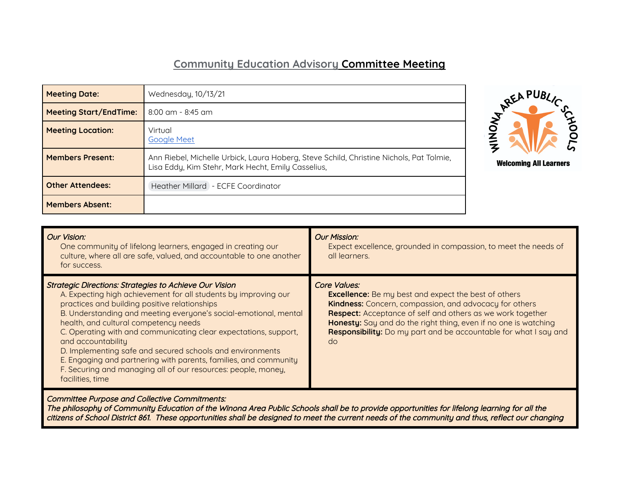## **Community Education Advisory Committee Meeting**

| <b>Meeting Date:</b>          | Wednesday, 10/13/21                                                                                                                           |
|-------------------------------|-----------------------------------------------------------------------------------------------------------------------------------------------|
| <b>Meeting Start/EndTime:</b> | $8:00$ am - $8:45$ am                                                                                                                         |
| <b>Meeting Location:</b>      | Virtual<br><b>Google Meet</b>                                                                                                                 |
| <b>Members Present:</b>       | Ann Riebel, Michelle Urbick, Laura Hoberg, Steve Schild, Christine Nichols, Pat Tolmie,<br>Lisa Eddy, Kim Stehr, Mark Hecht, Emily Casselius, |
| <b>Other Attendees:</b>       | Heather Millard - ECFE Coordinator                                                                                                            |
| <b>Members Absent:</b>        |                                                                                                                                               |



| <b>Our Vision:</b><br>One community of lifelong learners, engaged in creating our<br>culture, where all are safe, valued, and accountable to one another<br>for success.                                                                                                                                                                                                                                                                                                                                                                                                                                       | Our Mission:<br>Expect excellence, grounded in compassion, to meet the needs of<br>all learners.                                                                                                                                                                                                                                                                             |
|----------------------------------------------------------------------------------------------------------------------------------------------------------------------------------------------------------------------------------------------------------------------------------------------------------------------------------------------------------------------------------------------------------------------------------------------------------------------------------------------------------------------------------------------------------------------------------------------------------------|------------------------------------------------------------------------------------------------------------------------------------------------------------------------------------------------------------------------------------------------------------------------------------------------------------------------------------------------------------------------------|
| <b>Strategic Directions: Strategies to Achieve Our Vision</b><br>A. Expecting high achievement for all students by improving our<br>practices and building positive relationships<br>B. Understanding and meeting everyone's social-emotional, mental<br>health, and cultural competency needs<br>C. Operating with and communicating clear expectations, support,<br>and accountability<br>D. Implementing safe and secured schools and environments<br>E. Engaging and partnering with parents, families, and community<br>F. Securing and managing all of our resources: people, money,<br>facilities, time | <b>Core Values:</b><br><b>Excellence:</b> Be my best and expect the best of others<br><b>Kindness:</b> Concern, compassion, and advocacy for others<br><b>Respect:</b> Acceptance of self and others as we work together<br>Honesty: Say and do the right thing, even if no one is watching<br><b>Responsibility:</b> Do my part and be accountable for what I say and<br>do |

Committee Purpose and Collective Commitments:

The philosophy of Community Education of the Winona Area Public Schools shall be to provide opportunities for lifelong learning for all the citizens of School District 861. These opportunities shall be designed to meet the current needs of the community and thus, reflect our changing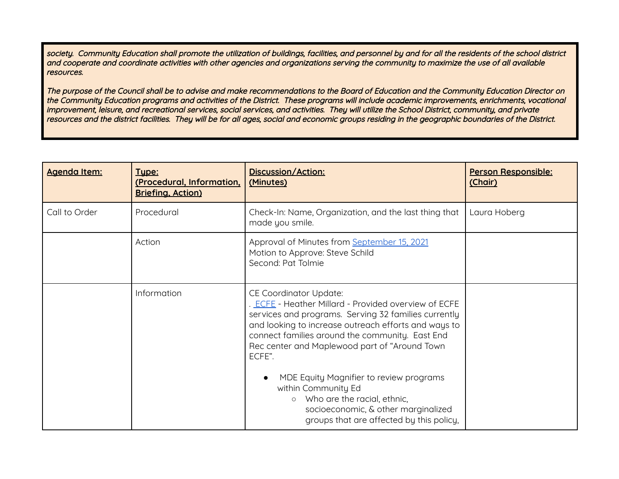society. Community Education shall promote the utilization of buildings, facilities, and personnel by and for all the residents of the school district and cooperate and coordinate activities with other agencies and organizations serving the community to maximize the use of all available resources.

The purpose of the Council shall be to advise and make recommendations to the Board of Education and the Community Education Director on the Community Education programs and activities of the District. These programs will include academic improvements, enrichments, vocational improvement, leisure, and recreational services, social services, and activities. They will utilize the School District, community, and private resources and the district facilities. They will be for all ages, social and economic groups residing in the geographic boundaries of the District.

| Agenda Item:  | Tupe:<br>(Procedural, Information,<br><b>Briefing, Action)</b> | Discussion/Action:<br>(Minutes)                                                                                                                                                                                                                                                                                   | Person Responsible:<br>(Chair) |
|---------------|----------------------------------------------------------------|-------------------------------------------------------------------------------------------------------------------------------------------------------------------------------------------------------------------------------------------------------------------------------------------------------------------|--------------------------------|
| Call to Order | Procedural                                                     | Check-In: Name, Organization, and the last thing that<br>made you smile.                                                                                                                                                                                                                                          | Laura Hoberg                   |
|               | Action                                                         | Approval of Minutes from September 15, 2021<br>Motion to Approve: Steve Schild<br>Second: Pat Tolmie                                                                                                                                                                                                              |                                |
|               | Information                                                    | <b>CE Coordinator Update:</b><br>ECFE - Heather Millard - Provided overview of ECFE<br>services and programs. Serving 32 families currently<br>and looking to increase outreach efforts and ways to<br>connect families around the community. East End<br>Rec center and Maplewood part of "Around Town<br>ECFE". |                                |
|               |                                                                | MDE Equity Magnifier to review programs<br>within Community Ed<br>Who are the racial, ethnic,<br>$\circ$<br>socioeconomic, & other marginalized<br>groups that are affected by this policy,                                                                                                                       |                                |